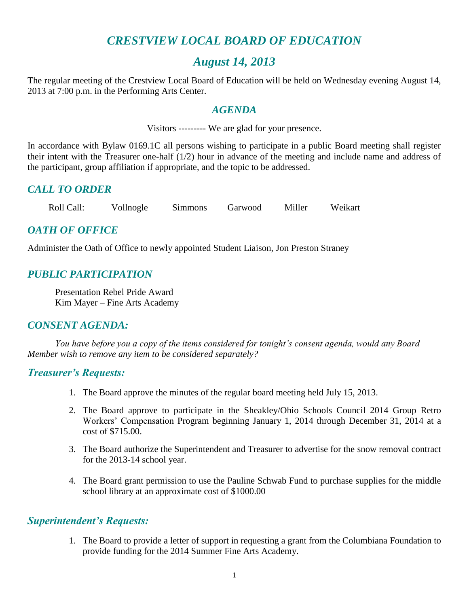## *CRESTVIEW LOCAL BOARD OF EDUCATION*

## *August 14, 2013*

The regular meeting of the Crestview Local Board of Education will be held on Wednesday evening August 14, 2013 at 7:00 p.m. in the Performing Arts Center.

## *AGENDA*

Visitors --------- We are glad for your presence.

In accordance with Bylaw 0169.1C all persons wishing to participate in a public Board meeting shall register their intent with the Treasurer one-half (1/2) hour in advance of the meeting and include name and address of the participant, group affiliation if appropriate, and the topic to be addressed.

## *CALL TO ORDER*

Roll Call: Vollnogle Simmons Garwood Miller Weikart

## *OATH OF OFFICE*

Administer the Oath of Office to newly appointed Student Liaison, Jon Preston Straney

## *PUBLIC PARTICIPATION*

Presentation Rebel Pride Award Kim Mayer – Fine Arts Academy

## *CONSENT AGENDA:*

*You have before you a copy of the items considered for tonight's consent agenda, would any Board Member wish to remove any item to be considered separately?*

## *Treasurer's Requests:*

- 1. The Board approve the minutes of the regular board meeting held July 15, 2013.
- 2. The Board approve to participate in the Sheakley/Ohio Schools Council 2014 Group Retro Workers' Compensation Program beginning January 1, 2014 through December 31, 2014 at a cost of \$715.00.
- 3. The Board authorize the Superintendent and Treasurer to advertise for the snow removal contract for the 2013-14 school year.
- 4. The Board grant permission to use the Pauline Schwab Fund to purchase supplies for the middle school library at an approximate cost of \$1000.00

## *Superintendent's Requests:*

1. The Board to provide a letter of support in requesting a grant from the Columbiana Foundation to provide funding for the 2014 Summer Fine Arts Academy.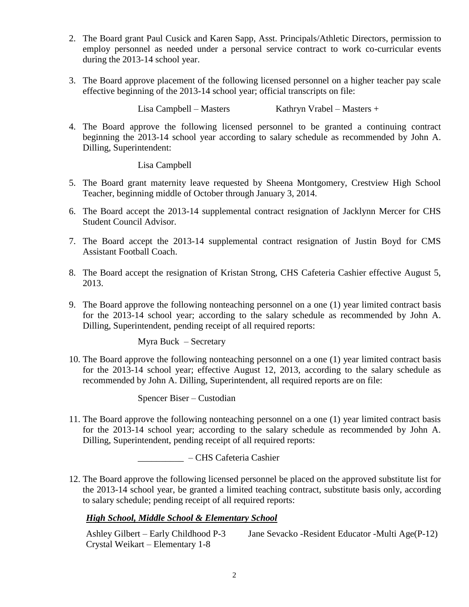- 2. The Board grant Paul Cusick and Karen Sapp, Asst. Principals/Athletic Directors, permission to employ personnel as needed under a personal service contract to work co-curricular events during the 2013-14 school year.
- 3. The Board approve placement of the following licensed personnel on a higher teacher pay scale effective beginning of the 2013-14 school year; official transcripts on file:

Lisa Campbell – Masters Kathryn Vrabel – Masters +

4. The Board approve the following licensed personnel to be granted a continuing contract beginning the 2013-14 school year according to salary schedule as recommended by John A. Dilling, Superintendent:

#### Lisa Campbell

- 5. The Board grant maternity leave requested by Sheena Montgomery, Crestview High School Teacher, beginning middle of October through January 3, 2014.
- 6. The Board accept the 2013-14 supplemental contract resignation of Jacklynn Mercer for CHS Student Council Advisor.
- 7. The Board accept the 2013-14 supplemental contract resignation of Justin Boyd for CMS Assistant Football Coach.
- 8. The Board accept the resignation of Kristan Strong, CHS Cafeteria Cashier effective August 5, 2013.
- 9. The Board approve the following nonteaching personnel on a one (1) year limited contract basis for the 2013-14 school year; according to the salary schedule as recommended by John A. Dilling, Superintendent, pending receipt of all required reports:

Myra Buck – Secretary

10. The Board approve the following nonteaching personnel on a one (1) year limited contract basis for the 2013-14 school year; effective August 12, 2013, according to the salary schedule as recommended by John A. Dilling, Superintendent, all required reports are on file:

Spencer Biser – Custodian

11. The Board approve the following nonteaching personnel on a one (1) year limited contract basis for the 2013-14 school year; according to the salary schedule as recommended by John A. Dilling, Superintendent, pending receipt of all required reports:

\_\_\_\_\_\_\_\_\_\_ – CHS Cafeteria Cashier

12. The Board approve the following licensed personnel be placed on the approved substitute list for the 2013-14 school year, be granted a limited teaching contract, substitute basis only, according to salary schedule; pending receipt of all required reports:

#### *High School, Middle School & Elementary School*

Ashley Gilbert – Early Childhood P-3 Jane Sevacko -Resident Educator -Multi Age(P-12) Crystal Weikart – Elementary 1-8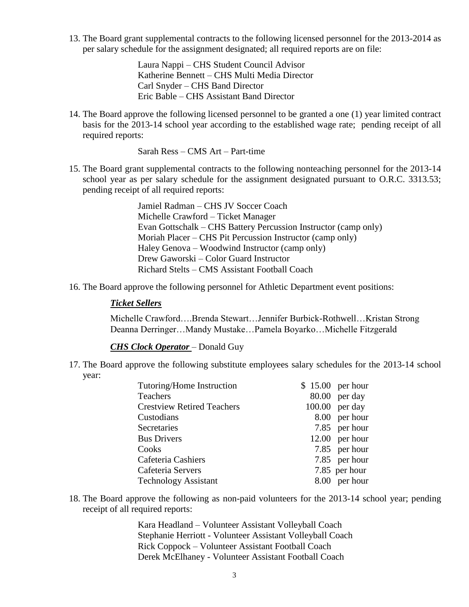13. The Board grant supplemental contracts to the following licensed personnel for the 2013-2014 as per salary schedule for the assignment designated; all required reports are on file:

> Laura Nappi – CHS Student Council Advisor Katherine Bennett – CHS Multi Media Director Carl Snyder – CHS Band Director Eric Bable – CHS Assistant Band Director

14. The Board approve the following licensed personnel to be granted a one (1) year limited contract basis for the 2013-14 school year according to the established wage rate; pending receipt of all required reports:

Sarah Ress – CMS Art – Part-time

15. The Board grant supplemental contracts to the following nonteaching personnel for the 2013-14 school year as per salary schedule for the assignment designated pursuant to O.R.C. 3313.53; pending receipt of all required reports:

> Jamiel Radman – CHS JV Soccer Coach Michelle Crawford – Ticket Manager Evan Gottschalk – CHS Battery Percussion Instructor (camp only) Moriah Placer – CHS Pit Percussion Instructor (camp only) Haley Genova – Woodwind Instructor (camp only) Drew Gaworski – Color Guard Instructor Richard Stelts – CMS Assistant Football Coach

16. The Board approve the following personnel for Athletic Department event positions:

#### *Ticket Sellers*

Michelle Crawford….Brenda Stewart…Jennifer Burbick-Rothwell…Kristan Strong Deanna Derringer…Mandy Mustake…Pamela Boyarko…Michelle Fitzgerald

#### *CHS Clock Operator* – Donald Guy

17. The Board approve the following substitute employees salary schedules for the 2013-14 school year:

| Tutoring/Home Instruction         | $$15.00$ per hour |
|-----------------------------------|-------------------|
| <b>Teachers</b>                   | $80.00$ per day   |
| <b>Crestview Retired Teachers</b> | $100.00$ per day  |
| Custodians                        | 8.00 per hour     |
| Secretaries                       | 7.85 per hour     |
| <b>Bus Drivers</b>                | $12.00$ per hour  |
| Cooks                             | 7.85 per hour     |
| Cafeteria Cashiers                | 7.85 per hour     |
| Cafeteria Servers                 | 7.85 per hour     |
| <b>Technology Assistant</b>       | 8.00 per hour     |

18. The Board approve the following as non-paid volunteers for the 2013-14 school year; pending receipt of all required reports:

> Kara Headland – Volunteer Assistant Volleyball Coach Stephanie Herriott - Volunteer Assistant Volleyball Coach Rick Coppock – Volunteer Assistant Football Coach Derek McElhaney - Volunteer Assistant Football Coach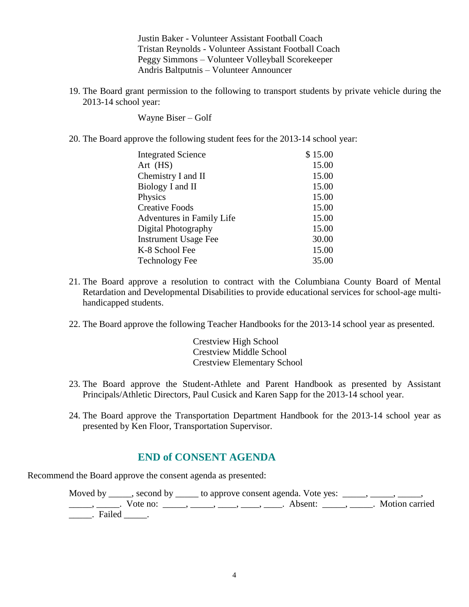Justin Baker - Volunteer Assistant Football Coach Tristan Reynolds - Volunteer Assistant Football Coach Peggy Simmons – Volunteer Volleyball Scorekeeper Andris Baltputnis – Volunteer Announcer

19. The Board grant permission to the following to transport students by private vehicle during the 2013-14 school year:

Wayne Biser – Golf

20. The Board approve the following student fees for the 2013-14 school year:

| <b>Integrated Science</b>   | \$15.00 |
|-----------------------------|---------|
| Art (HS)                    | 15.00   |
| Chemistry I and II          | 15.00   |
| Biology I and II            | 15.00   |
| Physics                     | 15.00   |
| <b>Creative Foods</b>       | 15.00   |
| Adventures in Family Life   | 15.00   |
| Digital Photography         | 15.00   |
| <b>Instrument Usage Fee</b> | 30.00   |
| K-8 School Fee              | 15.00   |
| <b>Technology Fee</b>       | 35.00   |

- 21. The Board approve a resolution to contract with the Columbiana County Board of Mental Retardation and Developmental Disabilities to provide educational services for school-age multihandicapped students.
- 22. The Board approve the following Teacher Handbooks for the 2013-14 school year as presented.

Crestview High School Crestview Middle School Crestview Elementary School

- 23. The Board approve the Student-Athlete and Parent Handbook as presented by Assistant Principals/Athletic Directors, Paul Cusick and Karen Sapp for the 2013-14 school year.
- 24. The Board approve the Transportation Department Handbook for the 2013-14 school year as presented by Ken Floor, Transportation Supervisor.

## **END of CONSENT AGENDA**

Recommend the Board approve the consent agenda as presented:

Moved by \_\_\_\_, second by \_\_\_\_\_ to approve consent agenda. Vote yes:  $\_\_\_\_\_\_\_\_\_\_\_\_\_\_\_\_\_$ \_\_\_\_\_\_, \_\_\_\_\_\_. Vote no: \_\_\_\_\_\_, \_\_\_\_\_, \_\_\_\_\_, \_\_\_\_\_, Absent: \_\_\_\_\_, \_\_\_\_\_. Motion carried \_\_\_\_\_. Failed \_\_\_\_\_.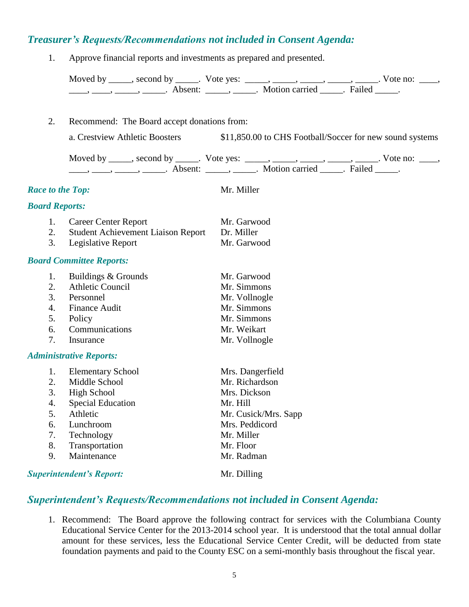## *Treasurer's Requests/Recommendations not included in Consent Agenda:*

1. Approve financial reports and investments as prepared and presented.

|                         |                                             | Moved by _____, second by _____. Vote yes: _____, _____, _____, _____, ______, Vote no: ____, _____, Absent: _____, _____. Motion carried _____. Failed _____. |  |
|-------------------------|---------------------------------------------|----------------------------------------------------------------------------------------------------------------------------------------------------------------|--|
|                         |                                             |                                                                                                                                                                |  |
| 2.                      | Recommend: The Board accept donations from: |                                                                                                                                                                |  |
|                         |                                             |                                                                                                                                                                |  |
|                         | a. Crestview Athletic Boosters              | \$11,850.00 to CHS Football/Soccer for new sound systems                                                                                                       |  |
|                         |                                             | Moved by _____, second by _____. Vote yes: _____, _____, _____, _____, _____. Vote no: ____,                                                                   |  |
|                         |                                             | $\dots, \dots, \dots, \dots$ . Absent: $\dots, \dots$ . Motion carried $\dots$ . Failed $\dots$ .                                                              |  |
|                         |                                             |                                                                                                                                                                |  |
| <b>Race to the Top:</b> |                                             | Mr. Miller                                                                                                                                                     |  |
| <b>Board Reports:</b>   |                                             |                                                                                                                                                                |  |
| 1.                      | <b>Career Center Report</b>                 | Mr. Garwood                                                                                                                                                    |  |
| 2.                      | <b>Student Achievement Liaison Report</b>   | Dr. Miller                                                                                                                                                     |  |
| 3.                      | Legislative Report                          | Mr. Garwood                                                                                                                                                    |  |
|                         | <b>Board Committee Reports:</b>             |                                                                                                                                                                |  |
| 1.                      | Buildings & Grounds                         | Mr. Garwood                                                                                                                                                    |  |
| 2.                      | <b>Athletic Council</b>                     | Mr. Simmons                                                                                                                                                    |  |
| 3.                      | Personnel                                   | Mr. Vollnogle                                                                                                                                                  |  |
| 4.                      | <b>Finance Audit</b>                        | Mr. Simmons                                                                                                                                                    |  |
| 5.                      | Policy                                      | Mr. Simmons                                                                                                                                                    |  |
| 6.                      | Communications                              | Mr. Weikart                                                                                                                                                    |  |
| 7.                      | Insurance                                   | Mr. Vollnogle                                                                                                                                                  |  |
|                         | <b>Administrative Reports:</b>              |                                                                                                                                                                |  |
| 1.                      | <b>Elementary School</b>                    | Mrs. Dangerfield                                                                                                                                               |  |
| 2.                      | Middle School                               | Mr. Richardson                                                                                                                                                 |  |
| 3.                      | <b>High School</b>                          | Mrs. Dickson                                                                                                                                                   |  |
| 4.                      | <b>Special Education</b>                    | Mr. Hill                                                                                                                                                       |  |
| 5.                      | Athletic                                    | Mr. Cusick/Mrs. Sapp                                                                                                                                           |  |
| 6.                      | Lunchroom                                   | Mrs. Peddicord                                                                                                                                                 |  |
| 7.                      | Technology                                  | Mr. Miller                                                                                                                                                     |  |
| 8.                      | Transportation                              | Mr. Floor                                                                                                                                                      |  |
| 9.                      | Maintenance                                 | Mr. Radman                                                                                                                                                     |  |
|                         | <b>Superintendent's Report:</b>             | Mr. Dilling                                                                                                                                                    |  |

# *Superintendent's Requests/Recommendations not included in Consent Agenda:*

1. Recommend: The Board approve the following contract for services with the Columbiana County Educational Service Center for the 2013-2014 school year. It is understood that the total annual dollar amount for these services, less the Educational Service Center Credit, will be deducted from state foundation payments and paid to the County ESC on a semi-monthly basis throughout the fiscal year.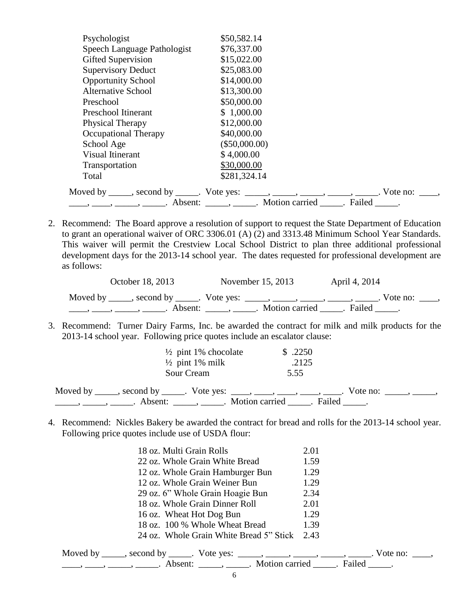| Psychologist                | \$50,582.14                                                                                  |
|-----------------------------|----------------------------------------------------------------------------------------------|
| Speech Language Pathologist | \$76,337.00                                                                                  |
| Gifted Supervision          | \$15,022.00                                                                                  |
| <b>Supervisory Deduct</b>   | \$25,083.00                                                                                  |
| <b>Opportunity School</b>   | \$14,000.00                                                                                  |
| <b>Alternative School</b>   | \$13,300.00                                                                                  |
| Preschool                   | \$50,000.00                                                                                  |
| Preschool Itinerant         | \$1,000.00                                                                                   |
| Physical Therapy            | \$12,000.00                                                                                  |
| Occupational Therapy        | \$40,000.00                                                                                  |
| School Age                  | $(\$50,000.00)$                                                                              |
| <b>Visual Itinerant</b>     | \$4,000.00                                                                                   |
| Transportation              | \$30,000.00                                                                                  |
| Total                       | \$281,324.14                                                                                 |
|                             | Moved by _____, second by _____. Vote yes: _____, _____, _____, _____, _____. Vote no: ____, |
|                             |                                                                                              |

2. Recommend: The Board approve a resolution of support to request the State Department of Education to grant an operational waiver of ORC 3306.01 (A) (2) and 3313.48 Minimum School Year Standards. This waiver will permit the Crestview Local School District to plan three additional professional development days for the 2013-14 school year. The dates requested for professional development are as follows:

| October 18, 2013                                                               | November 15, 2013                                      | April 4, 2014 |                                |
|--------------------------------------------------------------------------------|--------------------------------------------------------|---------------|--------------------------------|
| Moved by ______, second by _____. Vote yes: _____, _____, _____, _____, ______ |                                                        |               | $. \nabla$ vote no: $. \nabla$ |
|                                                                                | Absent: _____, ______. Motion carried ______. Failed . |               |                                |

3. Recommend: Turner Dairy Farms, Inc. be awarded the contract for milk and milk products for the 2013-14 school year. Following price quotes include an escalator clause:

| $\frac{1}{2}$ pint 1% chocolate<br>$\frac{1}{2}$ pint 1% milk<br>Sour Cream                                 | \$.2250<br>.2125<br>5.55 |                                      |
|-------------------------------------------------------------------------------------------------------------|--------------------------|--------------------------------------|
| Moved by _____, second by _____. Vote yes: ____, ____, ____, ____, _____,<br>Absent: $\qquad \qquad \qquad$ | Motion carried Failed    | $\sqrt{10}$ vote no: $\frac{1}{2}$ . |

4. Recommend: Nickles Bakery be awarded the contract for bread and rolls for the 2013-14 school year. Following price quotes include use of USDA flour:

| 18 oz. Multi Grain Rolls                                                                                                                                                                                                                                                                                                                                                                                                    | 2.01 |
|-----------------------------------------------------------------------------------------------------------------------------------------------------------------------------------------------------------------------------------------------------------------------------------------------------------------------------------------------------------------------------------------------------------------------------|------|
| 22 oz. Whole Grain White Bread                                                                                                                                                                                                                                                                                                                                                                                              | 1.59 |
| 12 oz. Whole Grain Hamburger Bun                                                                                                                                                                                                                                                                                                                                                                                            | 1.29 |
| 12 oz. Whole Grain Weiner Bun                                                                                                                                                                                                                                                                                                                                                                                               | 1.29 |
| 29 oz. 6" Whole Grain Hoagie Bun                                                                                                                                                                                                                                                                                                                                                                                            | 2.34 |
| 18 oz. Whole Grain Dinner Roll                                                                                                                                                                                                                                                                                                                                                                                              | 2.01 |
| 16 oz. Wheat Hot Dog Bun                                                                                                                                                                                                                                                                                                                                                                                                    | 1.29 |
| 18 oz. 100 % Whole Wheat Bread                                                                                                                                                                                                                                                                                                                                                                                              | 1.39 |
| 24 oz. Whole Grain White Bread 5" Stick                                                                                                                                                                                                                                                                                                                                                                                     | 2.43 |
| Moved by _____, second by _____. Vote yes: _____, _____, _____, _____, _____. Vote no: ____,                                                                                                                                                                                                                                                                                                                                |      |
| $\frac{1}{1}, \frac{1}{1}, \frac{1}{1}, \frac{1}{1}, \frac{1}{1}, \frac{1}{1}, \frac{1}{1}, \frac{1}{1}, \frac{1}{1}, \frac{1}{1}, \frac{1}{1}, \frac{1}{1}, \frac{1}{1}, \frac{1}{1}, \frac{1}{1}, \frac{1}{1}, \frac{1}{1}, \frac{1}{1}, \frac{1}{1}, \frac{1}{1}, \frac{1}{1}, \frac{1}{1}, \frac{1}{1}, \frac{1}{1}, \frac{1}{1}, \frac{1}{1}, \frac{1}{1}, \frac{1}{1}, \frac{1}{1}, \frac{1}{1}, \frac{1}{1}, \frac{$ |      |